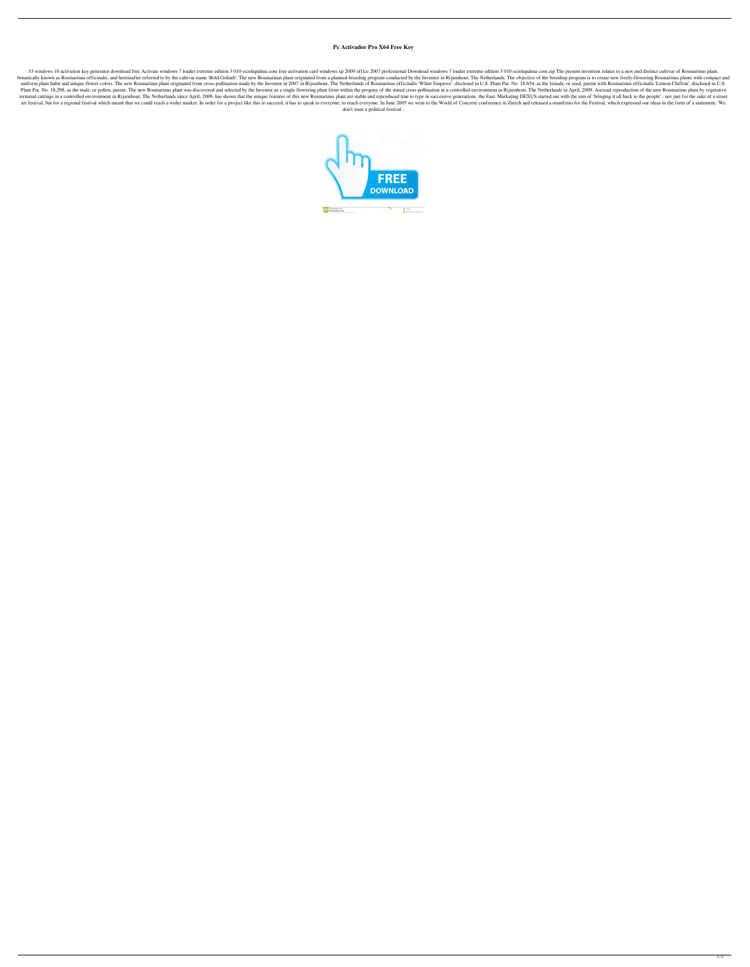## **Pc Activador Pro X64 Free Key**

33 windows 10 activation key generator download free Activate windows 7 loader extreme edition 3 010 ociolapalma com free activation card windows xp 2009 office 2007 professional Download windows 7 loader extreme edition 3 botanically known as Rosmarinus officinalis, and hereinafter referred to by the cultivar name 'Bold Goliath'. The new Rosmarinus plant originated from a planned breeding program conducted by the Inventor in Rijsenhout, The uniform plant habit and unique flower colors. The new Rosmarinus plant originated from cross-pollination made by the Inventor in 2007 in Rijsenhout, The Netherlands of Rosmarinus officinalis 'White Emperor', disclosed in U Plant Pat. No. 18,298, as the male, or pollen, parent. The new Rosmarinus plant was discovered and selected by the Inventor as a single flowering plant from within the progeny of the stated cross-pollination in a controlle terminal cuttings in a controlled environment in Rijsenhout, The Netherlands since April, 2009, has shown that the unique features of this new Rosmarinus plant are stable and reproduced true to type in successive generatio art festival, but for a regional festival which meant that we could reach a wider market. In order for a project like this to succeed, it has to speak to everyone; to reach everyone. In June 2005 we went to the World of Co don't want a political festival -